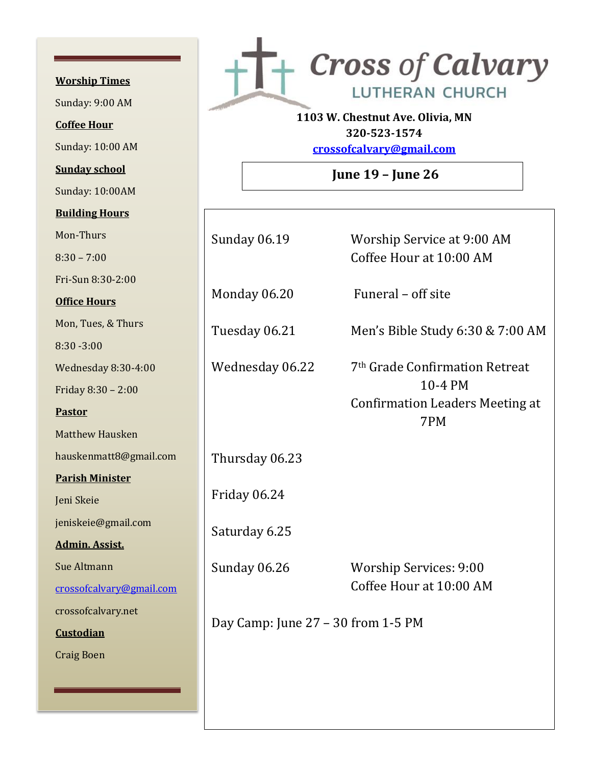**Worship Times**  Sunday: 9:00 AM **Coffee Hour** Sunday: 10:00 AM **Sunday school** Sunday: 10:00AM **Building Hours** Mon-Thurs 8:30 – 7:00 Fri-Sun 8:30-2:00 **Office Hours** Mon, Tues, & Thur 8:30 -3:00 Wednesday 8:30-Friday 8:30 - 2:00 **Pastor** Matthew Hausken hauskenmatt8@g **Parish Minister** Jeni Skeie jeniskeie@gmail.c **Admin. Assist.** Sue Altmann crossofcalvary@g crossofcalvary.net **Custodian** Craig Boen



**1103 W. Chestnut Ave. Olivia, MN 320-523-1574**

**[crossofcalvary@gmail.com](mailto:crossofcalvary@gmail.com)**

**June 19 – June 26**

|                        | <b>Sunday 06.19</b>                | Worship Service at 9:00 AM<br>Coffee Hour at 10:00 AM                                                  |
|------------------------|------------------------------------|--------------------------------------------------------------------------------------------------------|
|                        | Monday 06.20                       | Funeral - off site                                                                                     |
| rs                     | Tuesday 06.21                      | Men's Bible Study 6:30 & 7:00 AM                                                                       |
| 4:00<br>$\overline{0}$ | Wednesday 06.22                    | 7 <sup>th</sup> Grade Confirmation Retreat<br>10-4 PM<br><b>Confirmation Leaders Meeting at</b><br>7PM |
| $\mathbf{a}$           |                                    |                                                                                                        |
| mail.com               | Thursday 06.23                     |                                                                                                        |
|                        | Friday 06.24                       |                                                                                                        |
| com                    | Saturday 6.25                      |                                                                                                        |
| mail.com               | <b>Sunday 06.26</b>                | <b>Worship Services: 9:00</b><br>Coffee Hour at 10:00 AM                                               |
| t                      | Day Camp: June 27 - 30 from 1-5 PM |                                                                                                        |
|                        |                                    |                                                                                                        |
|                        |                                    |                                                                                                        |
|                        |                                    |                                                                                                        |
|                        |                                    |                                                                                                        |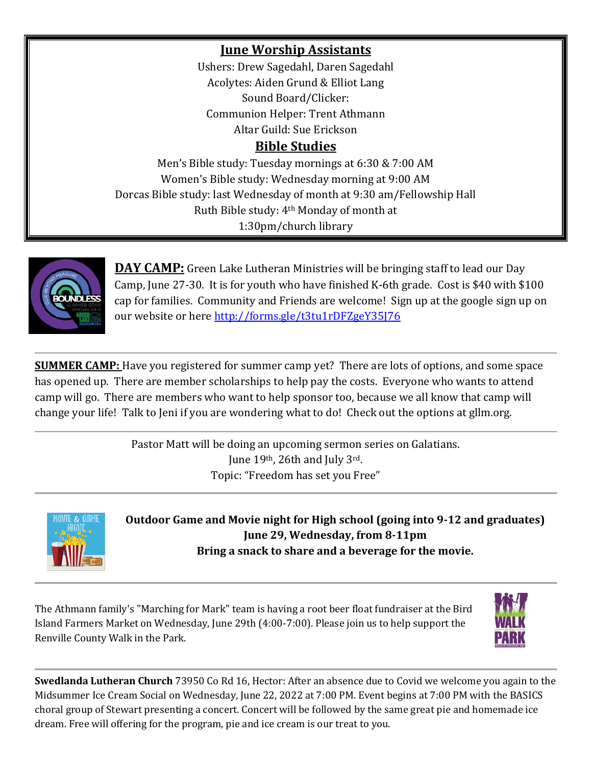## **June Worship Assistants**

Ushers: Drew Sagedahl, Daren Sagedahl Acolytes: Aiden Grund & Elliot Lang Sound Board/Clicker: Communion Helper: Trent Athmann Altar Guild: Sue Erickson

## **Bible Studies**

Men's Bible study: Tuesday mornings at 6:30 & 7:00 AM Women's Bible study: Wednesday morning at 9:00 AM Dorcas Bible study: last Wednesday of month at 9:30 am/Fellowship Hall Ruth Bible study: 4th Monday of month at 1:30pm/church library



**DAY CAMP:** Green Lake Lutheran Ministries will be bringing staff to lead our Day Camp, June 27-30. It is for youth who have finished K-6th grade. Cost is \$40 with \$100 cap for families. Community and Friends are welcome! Sign up at the google sign up on our website or here<http://forms.gle/t3tu1rDFZgeY35J76>

**SUMMER CAMP:** Have you registered for summer camp yet? There are lots of options, and some space has opened up. There are member scholarships to help pay the costs. Everyone who wants to attend camp will go. There are members who want to help sponsor too, because we all know that camp will change your life! Talk to Jeni if you are wondering what to do! Check out the options at gllm.org.

> Pastor Matt will be doing an upcoming sermon series on Galatians. June 19th, 26th and July 3rd. Topic: "Freedom has set you Free"



**Outdoor Game and Movie night for High school (going into 9-12 and graduates) June 29, Wednesday, from 8-11pm Bring a snack to share and a beverage for the movie.**

The Athmann family's "Marching for Mark" team is having a root beer float fundraiser at the Bird Island Farmers Market on Wednesday, June 29th (4:00-7:00). Please join us to help support the Renville County Walk in the Park.



**Swedlanda Lutheran Church** 73950 Co Rd 16, Hector: After an absence due to Covid we welcome you again to the Midsummer Ice Cream Social on Wednesday, June 22, 2022 at 7:00 PM. Event begins at 7:00 PM with the BASICS choral group of Stewart presenting a concert. Concert will be followed by the same great pie and homemade ice dream. Free will offering for the program, pie and ice cream is our treat to you.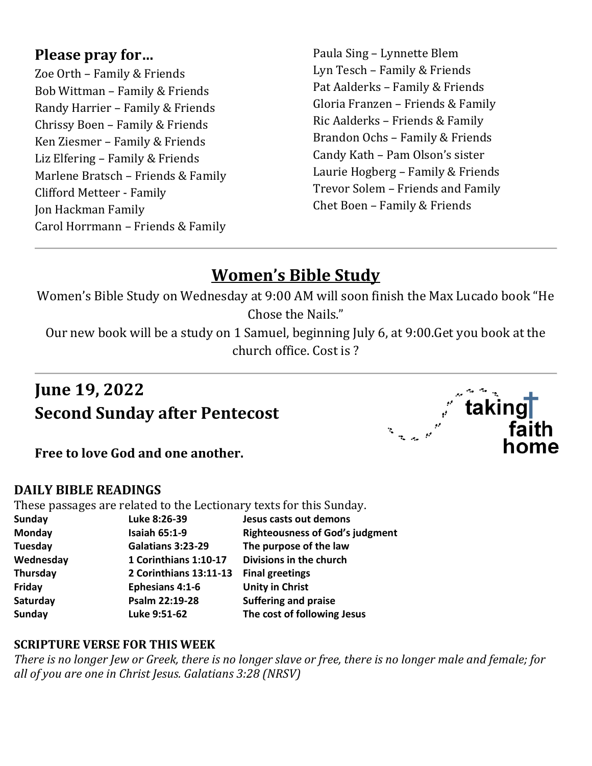## **Please pray for…**

Zoe Orth – Family & Friends Bob Wittman – Family & Friends Randy Harrier – Family & Friends Chrissy Boen – Family & Friends Ken Ziesmer – Family & Friends Liz Elfering – Family & Friends Marlene Bratsch – Friends & Family Clifford Metteer - Family Jon Hackman Family Carol Horrmann – Friends & Family

Paula Sing – Lynnette Blem Lyn Tesch – Family & Friends Pat Aalderks – Family & Friends Gloria Franzen – Friends & Family Ric Aalderks – Friends & Family Brandon Ochs – Family & Friends Candy Kath – Pam Olson's sister Laurie Hogberg – Family & Friends Trevor Solem – Friends and Family Chet Boen – Family & Friends

# **Women's Bible Study**

Women's Bible Study on Wednesday at 9:00 AM will soon finish the Max Lucado book "He Chose the Nails."

Our new book will be a study on 1 Samuel, beginning July 6, at 9:00.Get you book at the church office. Cost is ?

# **June 19, 2022 Second Sunday after Pentecost**



**Free to love God and one another.**

### **DAILY BIBLE READINGS**

These passages are related to the Lectionary texts for this Sunday.

|               | These passages are related to the bectronary texts for this banday. |                                        |
|---------------|---------------------------------------------------------------------|----------------------------------------|
| <b>Sunday</b> | Luke 8:26-39                                                        | Jesus casts out demons                 |
| Monday        | <b>Isaiah 65:1-9</b>                                                | <b>Righteousness of God's judgment</b> |
| Tuesday       | Galatians 3:23-29                                                   | The purpose of the law                 |
| Wednesday     | 1 Corinthians 1:10-17                                               | Divisions in the church                |
| Thursday      | 2 Corinthians 13:11-13                                              | <b>Final greetings</b>                 |
| Friday        | <b>Ephesians 4:1-6</b>                                              | <b>Unity in Christ</b>                 |
| Saturday      | Psalm 22:19-28                                                      | <b>Suffering and praise</b>            |
| <b>Sunday</b> | Luke 9:51-62                                                        | The cost of following Jesus            |
|               |                                                                     |                                        |

### **SCRIPTURE VERSE FOR THIS WEEK**

*There is no longer Jew or Greek, there is no longer slave or free, there is no longer male and female; for all of you are one in Christ Jesus. Galatians 3:28 (NRSV)*